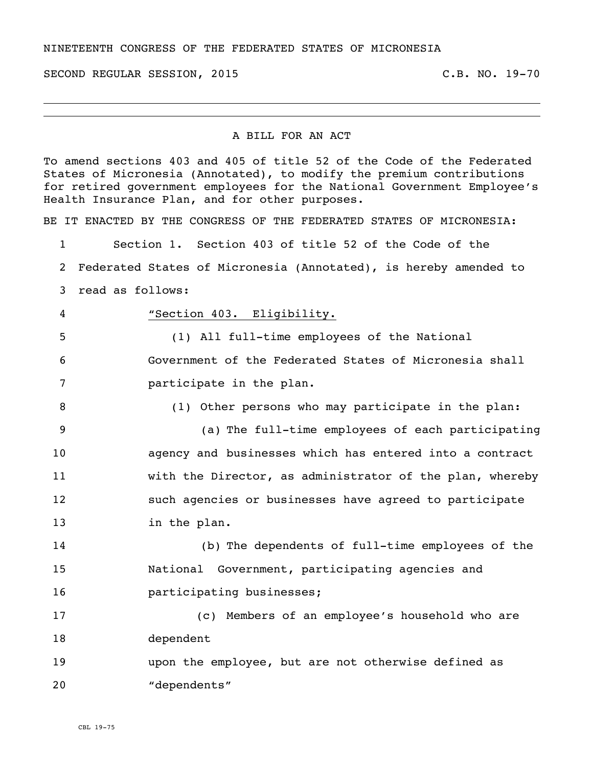SECOND REGULAR SESSION, 2015 C.B. NO. 19-70

## A BILL FOR AN ACT

To amend sections 403 and 405 of title 52 of the Code of the Federated States of Micronesia (Annotated), to modify the premium contributions for retired government employees for the National Government Employee's Health Insurance Plan, and for other purposes.

BE IT ENACTED BY THE CONGRESS OF THE FEDERATED STATES OF MICRONESIA:

Section 1. Section 403 of title 52 of the Code of the

Federated States of Micronesia (Annotated), is hereby amended to

read as follows:

"Section 403. Eligibility.

 (1) All full-time employees of the National Government of the Federated States of Micronesia shall participate in the plan.

(1) Other persons who may participate in the plan:

 (a) The full-time employees of each participating agency and businesses which has entered into a contract with the Director, as administrator of the plan, whereby such agencies or businesses have agreed to participate in the plan.

 (b) The dependents of full-time employees of the National Government, participating agencies and **participating businesses;** 

 (c) Members of an employee's household who are dependent

 upon the employee, but are not otherwise defined as "dependents"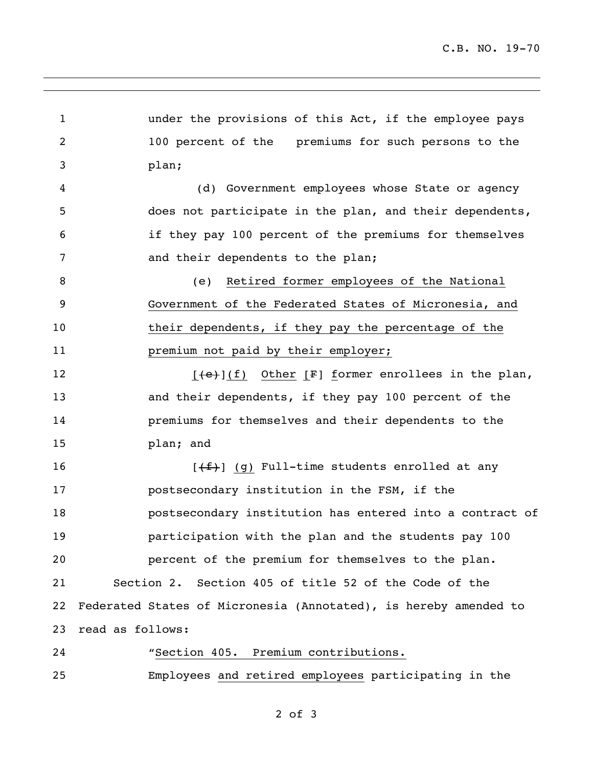under the provisions of this Act, if the employee pays 100 percent of the premiums for such persons to the plan; (d) Government employees whose State or agency does not participate in the plan, and their dependents, if they pay 100 percent of the premiums for themselves and their dependents to the plan; (e) Retired former employees of the National Government of the Federated States of Micronesia, and their dependents, if they pay the percentage of the **premium not paid by their employer;**  $[(e)$ ](f) Other [F] former enrollees in the plan, and their dependents, if they pay 100 percent of the premiums for themselves and their dependents to the plan; and  $[\frac{f+1}{g}]$  (g) Full-time students enrolled at any postsecondary institution in the FSM, if the postsecondary institution has entered into a contract of participation with the plan and the students pay 100 percent of the premium for themselves to the plan. Section 2. Section 405 of title 52 of the Code of the Federated States of Micronesia (Annotated), is hereby amended to read as follows: "Section 405. Premium contributions. Employees and retired employees participating in the

of 3